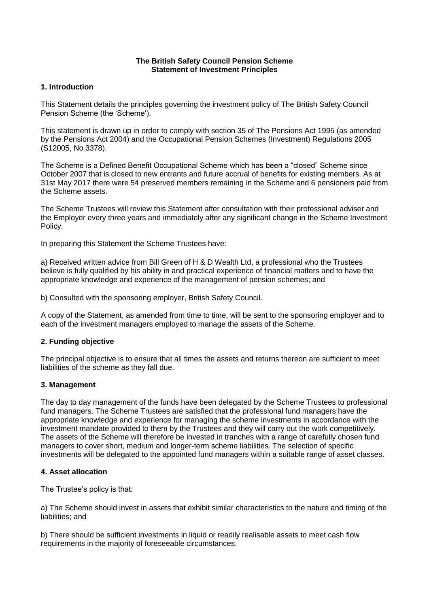### **The British Safety Council Pension Scheme Statement of Investment Principles**

# **1. Introduction**

This Statement details the principles governing the investment policy of The British Safety Council Pension Scheme (the 'Scheme').

This statement is drawn up in order to comply with section 35 of The Pensions Act 1995 (as amended by the Pensions Act 2004) and the Occupational Pension Schemes (Investment) Regulations 2005 (S12005, No 3378).

The Scheme is a Defined Benefit Occupational Scheme which has been a "closed" Scheme since October 2007 that is closed to new entrants and future accrual of benefits for existing members. As at 31st May 2017 there were 54 preserved members remaining in the Scheme and 6 pensioners paid from the Scheme assets.

The Scheme Trustees will review this Statement after consultation with their professional adviser and the Employer every three years and immediately after any significant change in the Scheme Investment Policy.

In preparing this Statement the Scheme Trustees have:

a) Received written advice from Bill Green of H & D Wealth Ltd, a professional who the Trustees believe is fully qualified by his ability in and practical experience of financial matters and to have the appropriate knowledge and experience of the management of pension schemes; and

b) Consulted with the sponsoring employer, British Safety Council.

A copy of the Statement, as amended from time to time, will be sent to the sponsoring employer and to each of the investment managers employed to manage the assets of the Scheme.

#### **2. Funding objective**

The principal objective is to ensure that all times the assets and returns thereon are sufficient to meet liabilities of the scheme as they fall due.

#### **3. Management**

The day to day management of the funds have been delegated by the Scheme Trustees to professional fund managers. The Scheme Trustees are satisfied that the professional fund managers have the appropriate knowledge and experience for managing the scheme investments in accordance with the investment mandate provided to them by the Trustees and they will carry out the work competitively. The assets of the Scheme will therefore be invested in tranches with a range of carefully chosen fund managers to cover short, medium and longer-term scheme liabilities. The selection of specific investments will be delegated to the appointed fund managers within a suitable range of asset classes.

#### **4. Asset allocation**

The Trustee's policy is that:

a) The Scheme should invest in assets that exhibit similar characteristics to the nature and timing of the liabilities; and

b) There should be sufficient investments in liquid or readily realisable assets to meet cash flow requirements in the majority of foreseeable circumstances.